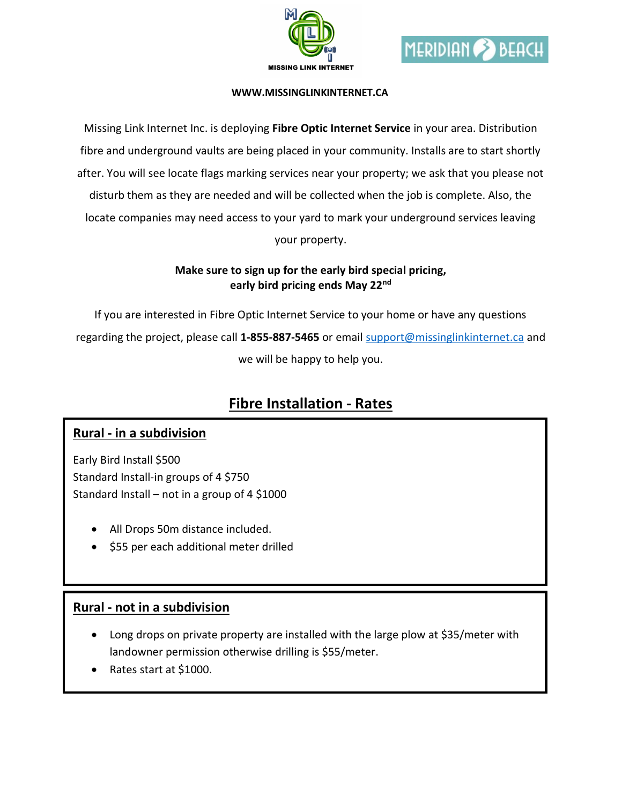



#### WWW.MISSINGLINKINTERNET.CA

Missing Link Internet Inc. is deploying Fibre Optic Internet Service in your area. Distribution fibre and underground vaults are being placed in your community. Installs are to start shortly after. You will see locate flags marking services near your property; we ask that you please not disturb them as they are needed and will be collected when the job is complete. Also, the locate companies may need access to your yard to mark your underground services leaving your property.

#### Make sure to sign up for the early bird special pricing, early bird pricing ends May 22<sup>nd</sup>

If you are interested in Fibre Optic Internet Service to your home or have any questions regarding the project, please call 1-855-887-5465 or email support@missinglinkinternet.ca and we will be happy to help you.

# Fibre Installation - Rates

### Rural - in a subdivision

Early Bird Install \$500 Standard Install-in groups of 4 \$750 Standard Install – not in a group of 4 \$1000

- All Drops 50m distance included.
- \$55 per each additional meter drilled

### Rural - not in a subdivision

- Long drops on private property are installed with the large plow at \$35/meter with landowner permission otherwise drilling is \$55/meter.
- Rates start at \$1000.